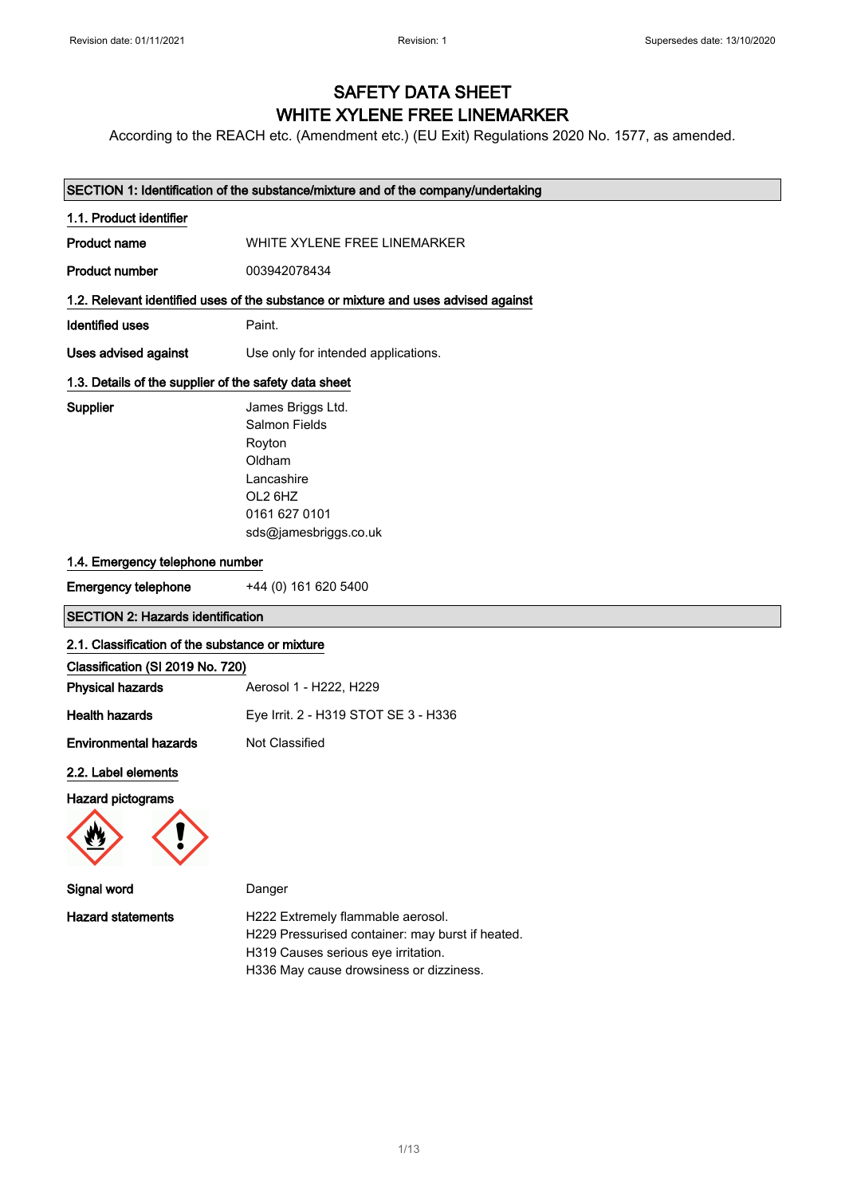## SAFETY DATA SHEET WHITE XYLENE FREE LINEMARKER

According to the REACH etc. (Amendment etc.) (EU Exit) Regulations 2020 No. 1577, as amended.

|                                                       | SECTION 1: Identification of the substance/mixture and of the company/undertaking                                                |  |
|-------------------------------------------------------|----------------------------------------------------------------------------------------------------------------------------------|--|
| 1.1. Product identifier                               |                                                                                                                                  |  |
| <b>Product name</b>                                   | WHITE XYLENE FREE LINEMARKER                                                                                                     |  |
| <b>Product number</b>                                 | 003942078434                                                                                                                     |  |
|                                                       | 1.2. Relevant identified uses of the substance or mixture and uses advised against                                               |  |
| <b>Identified uses</b>                                | Paint.                                                                                                                           |  |
|                                                       |                                                                                                                                  |  |
| <b>Uses advised against</b>                           | Use only for intended applications.                                                                                              |  |
| 1.3. Details of the supplier of the safety data sheet |                                                                                                                                  |  |
| Supplier                                              | James Briggs Ltd.<br><b>Salmon Fields</b><br>Royton<br>Oldham<br>Lancashire<br>OL2 6HZ<br>0161 627 0101<br>sds@jamesbriggs.co.uk |  |
| 1.4. Emergency telephone number                       |                                                                                                                                  |  |
| <b>Emergency telephone</b>                            | +44 (0) 161 620 5400                                                                                                             |  |
| <b>SECTION 2: Hazards identification</b>              |                                                                                                                                  |  |
| 2.1. Classification of the substance or mixture       |                                                                                                                                  |  |
| Classification (SI 2019 No. 720)                      |                                                                                                                                  |  |
| <b>Physical hazards</b>                               | Aerosol 1 - H222, H229                                                                                                           |  |
| <b>Health hazards</b>                                 | Eye Irrit. 2 - H319 STOT SE 3 - H336                                                                                             |  |
| <b>Environmental hazards</b>                          | Not Classified                                                                                                                   |  |
| 2.2. Label elements                                   |                                                                                                                                  |  |
| Hazard pictograms                                     |                                                                                                                                  |  |
| Signal word                                           | Danger                                                                                                                           |  |
| <b>Hazard statements</b>                              | H222 Extremely flammable aerosol.<br>H229 Pressurised container: may burst if heated.<br>H319 Causes serious eye irritation.     |  |

H336 May cause drowsiness or dizziness.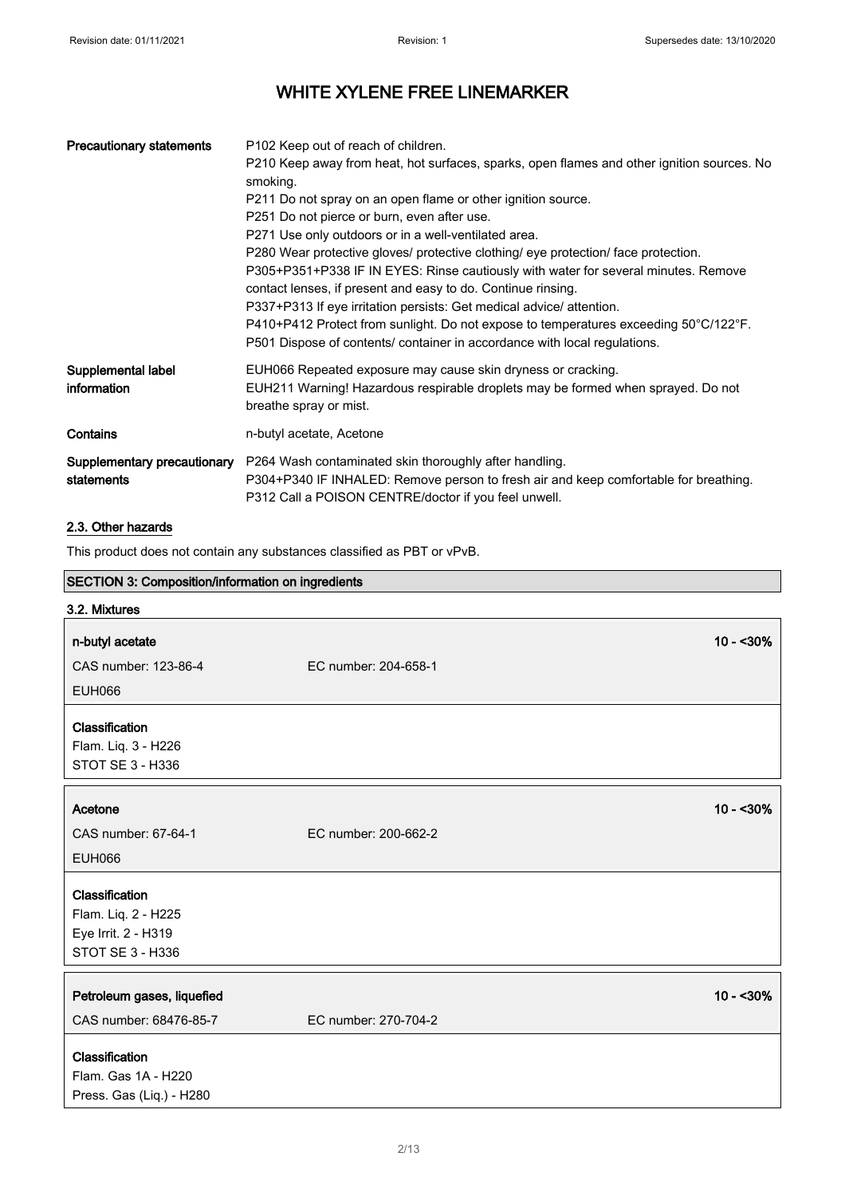| <b>Precautionary statements</b>           | P102 Keep out of reach of children.<br>P210 Keep away from heat, hot surfaces, sparks, open flames and other ignition sources. No<br>smoking.<br>P211 Do not spray on an open flame or other ignition source.<br>P251 Do not pierce or burn, even after use.<br>P271 Use only outdoors or in a well-ventilated area.<br>P280 Wear protective gloves/ protective clothing/ eye protection/ face protection.<br>P305+P351+P338 IF IN EYES: Rinse cautiously with water for several minutes. Remove<br>contact lenses, if present and easy to do. Continue rinsing.<br>P337+P313 If eye irritation persists: Get medical advice/attention.<br>P410+P412 Protect from sunlight. Do not expose to temperatures exceeding 50°C/122°F.<br>P501 Dispose of contents/ container in accordance with local regulations. |
|-------------------------------------------|--------------------------------------------------------------------------------------------------------------------------------------------------------------------------------------------------------------------------------------------------------------------------------------------------------------------------------------------------------------------------------------------------------------------------------------------------------------------------------------------------------------------------------------------------------------------------------------------------------------------------------------------------------------------------------------------------------------------------------------------------------------------------------------------------------------|
| Supplemental label<br>information         | EUH066 Repeated exposure may cause skin dryness or cracking.<br>EUH211 Warning! Hazardous respirable droplets may be formed when sprayed. Do not<br>breathe spray or mist.                                                                                                                                                                                                                                                                                                                                                                                                                                                                                                                                                                                                                                   |
| Contains                                  | n-butyl acetate, Acetone                                                                                                                                                                                                                                                                                                                                                                                                                                                                                                                                                                                                                                                                                                                                                                                     |
| Supplementary precautionary<br>statements | P264 Wash contaminated skin thoroughly after handling.<br>P304+P340 IF INHALED: Remove person to fresh air and keep comfortable for breathing.<br>P312 Call a POISON CENTRE/doctor if you feel unwell.                                                                                                                                                                                                                                                                                                                                                                                                                                                                                                                                                                                                       |

### 2.3. Other hazards

This product does not contain any substances classified as PBT or vPvB.

| SECTION 3: Composition/information on ingredients                                       |                      |            |
|-----------------------------------------------------------------------------------------|----------------------|------------|
| 3.2. Mixtures                                                                           |                      |            |
| n-butyl acetate                                                                         |                      | $10 - 30%$ |
| CAS number: 123-86-4                                                                    | EC number: 204-658-1 |            |
| <b>EUH066</b>                                                                           |                      |            |
| Classification<br>Flam. Liq. 3 - H226<br><b>STOT SE 3 - H336</b>                        |                      |            |
| Acetone                                                                                 |                      | $10 - 30%$ |
| CAS number: 67-64-1                                                                     | EC number: 200-662-2 |            |
| <b>EUH066</b>                                                                           |                      |            |
| Classification<br>Flam. Liq. 2 - H225<br>Eye Irrit. 2 - H319<br><b>STOT SE 3 - H336</b> |                      |            |
| Petroleum gases, liquefied<br>CAS number: 68476-85-7                                    | EC number: 270-704-2 | $10 - 30%$ |
| Classification<br>Flam. Gas 1A - H220<br>Press. Gas (Liq.) - H280                       |                      |            |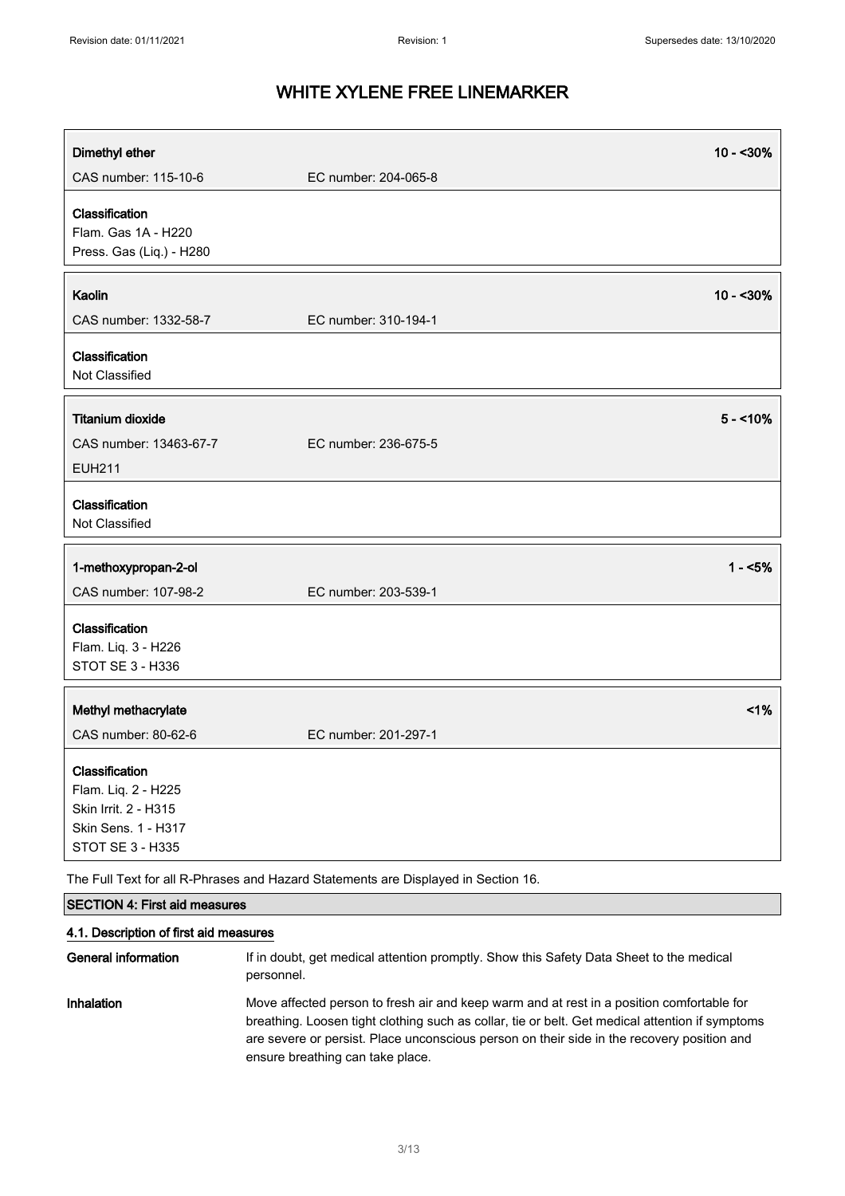| Dimethyl ether                                                                                                  |                                                                                                       | $10 - 30%$ |
|-----------------------------------------------------------------------------------------------------------------|-------------------------------------------------------------------------------------------------------|------------|
| CAS number: 115-10-6                                                                                            | EC number: 204-065-8                                                                                  |            |
| Classification<br>Flam. Gas 1A - H220<br>Press. Gas (Liq.) - H280                                               |                                                                                                       |            |
| Kaolin                                                                                                          |                                                                                                       | $10 - 30%$ |
| CAS number: 1332-58-7                                                                                           | EC number: 310-194-1                                                                                  |            |
| Classification<br>Not Classified                                                                                |                                                                                                       |            |
| <b>Titanium dioxide</b>                                                                                         |                                                                                                       | $5 - 10%$  |
| CAS number: 13463-67-7                                                                                          | EC number: 236-675-5                                                                                  |            |
| <b>EUH211</b>                                                                                                   |                                                                                                       |            |
| Classification<br>Not Classified                                                                                |                                                                                                       |            |
| 1-methoxypropan-2-ol                                                                                            |                                                                                                       | $1 - 5%$   |
| CAS number: 107-98-2                                                                                            | EC number: 203-539-1                                                                                  |            |
| Classification                                                                                                  |                                                                                                       |            |
| Flam. Liq. 3 - H226                                                                                             |                                                                                                       |            |
| <b>STOT SE 3 - H336</b>                                                                                         |                                                                                                       |            |
| Methyl methacrylate                                                                                             |                                                                                                       | 1%         |
| CAS number: 80-62-6                                                                                             | EC number: 201-297-1                                                                                  |            |
| Classification<br>Flam. Liq. 2 - H225<br>Skin Irrit. 2 - H315<br>Skin Sens. 1 - H317<br><b>STOT SE 3 - H335</b> |                                                                                                       |            |
|                                                                                                                 | The Full Text for all R-Phrases and Hazard Statements are Displayed in Section 16.                    |            |
| <b>SECTION 4: First aid measures</b>                                                                            |                                                                                                       |            |
| 4.1. Description of first aid measures                                                                          |                                                                                                       |            |
| <b>General information</b>                                                                                      | If in doubt, get medical attention promptly. Show this Safety Data Sheet to the medical<br>personnel. |            |

Inhalation Move affected person to fresh air and keep warm and at rest in a position comfortable for breathing. Loosen tight clothing such as collar, tie or belt. Get medical attention if symptoms are severe or persist. Place unconscious person on their side in the recovery position and ensure breathing can take place.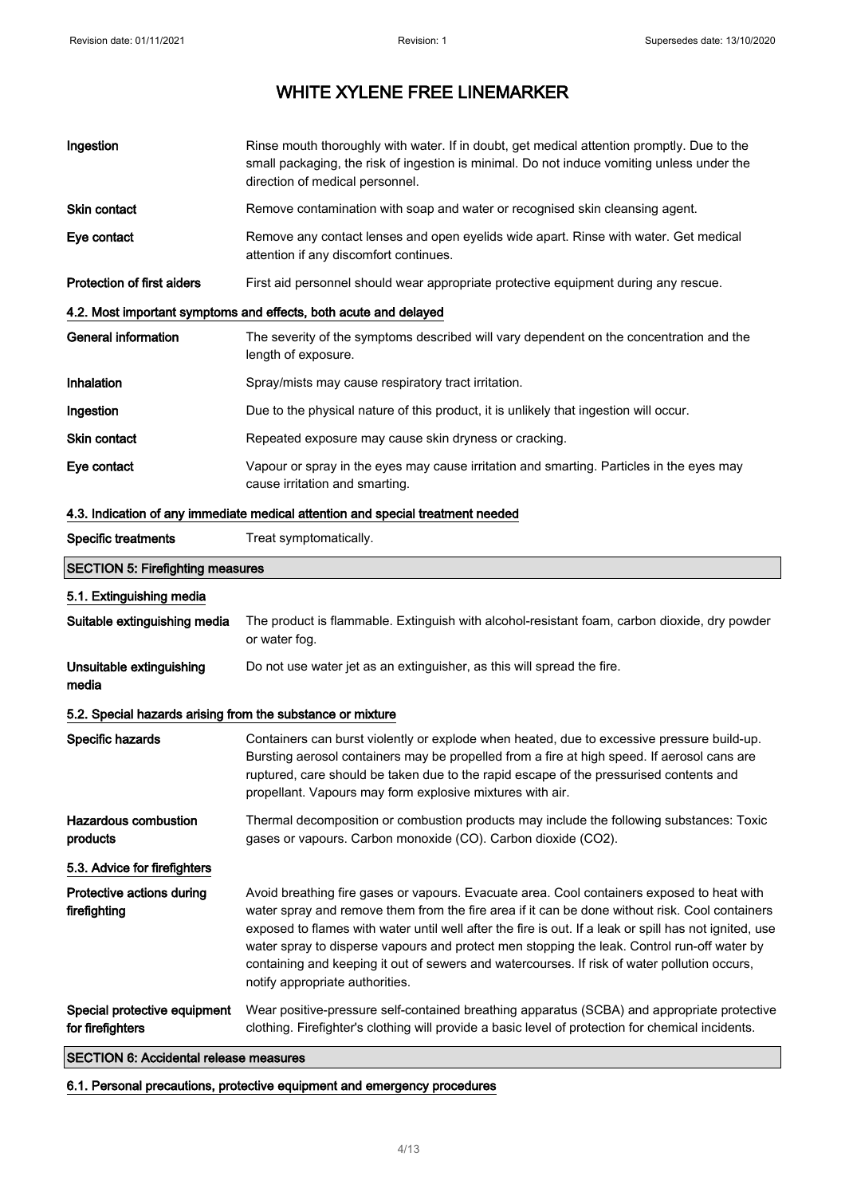| Ingestion                                                        | Rinse mouth thoroughly with water. If in doubt, get medical attention promptly. Due to the<br>small packaging, the risk of ingestion is minimal. Do not induce vomiting unless under the<br>direction of medical personnel.                                                                                                                                                                                                                                                                                                              |  |
|------------------------------------------------------------------|------------------------------------------------------------------------------------------------------------------------------------------------------------------------------------------------------------------------------------------------------------------------------------------------------------------------------------------------------------------------------------------------------------------------------------------------------------------------------------------------------------------------------------------|--|
| Skin contact                                                     | Remove contamination with soap and water or recognised skin cleansing agent.                                                                                                                                                                                                                                                                                                                                                                                                                                                             |  |
| Eye contact                                                      | Remove any contact lenses and open eyelids wide apart. Rinse with water. Get medical<br>attention if any discomfort continues.                                                                                                                                                                                                                                                                                                                                                                                                           |  |
| <b>Protection of first aiders</b>                                | First aid personnel should wear appropriate protective equipment during any rescue.                                                                                                                                                                                                                                                                                                                                                                                                                                                      |  |
| 4.2. Most important symptoms and effects, both acute and delayed |                                                                                                                                                                                                                                                                                                                                                                                                                                                                                                                                          |  |
| <b>General information</b>                                       | The severity of the symptoms described will vary dependent on the concentration and the<br>length of exposure.                                                                                                                                                                                                                                                                                                                                                                                                                           |  |
| <b>Inhalation</b>                                                | Spray/mists may cause respiratory tract irritation.                                                                                                                                                                                                                                                                                                                                                                                                                                                                                      |  |
| Ingestion                                                        | Due to the physical nature of this product, it is unlikely that ingestion will occur.                                                                                                                                                                                                                                                                                                                                                                                                                                                    |  |
| Skin contact                                                     | Repeated exposure may cause skin dryness or cracking.                                                                                                                                                                                                                                                                                                                                                                                                                                                                                    |  |
| Eye contact                                                      | Vapour or spray in the eyes may cause irritation and smarting. Particles in the eyes may<br>cause irritation and smarting.                                                                                                                                                                                                                                                                                                                                                                                                               |  |
|                                                                  | 4.3. Indication of any immediate medical attention and special treatment needed                                                                                                                                                                                                                                                                                                                                                                                                                                                          |  |
| <b>Specific treatments</b>                                       | Treat symptomatically.                                                                                                                                                                                                                                                                                                                                                                                                                                                                                                                   |  |
| <b>SECTION 5: Firefighting measures</b>                          |                                                                                                                                                                                                                                                                                                                                                                                                                                                                                                                                          |  |
| 5.1. Extinguishing media                                         |                                                                                                                                                                                                                                                                                                                                                                                                                                                                                                                                          |  |
| Suitable extinguishing media                                     | The product is flammable. Extinguish with alcohol-resistant foam, carbon dioxide, dry powder<br>or water fog.                                                                                                                                                                                                                                                                                                                                                                                                                            |  |
| Unsuitable extinguishing<br>media                                | Do not use water jet as an extinguisher, as this will spread the fire.                                                                                                                                                                                                                                                                                                                                                                                                                                                                   |  |
| 5.2. Special hazards arising from the substance or mixture       |                                                                                                                                                                                                                                                                                                                                                                                                                                                                                                                                          |  |
| Specific hazards                                                 | Containers can burst violently or explode when heated, due to excessive pressure build-up.<br>Bursting aerosol containers may be propelled from a fire at high speed. If aerosol cans are<br>ruptured, care should be taken due to the rapid escape of the pressurised contents and<br>propellant. Vapours may form explosive mixtures with air.                                                                                                                                                                                         |  |
| <b>Hazardous combustion</b><br>products                          | Thermal decomposition or combustion products may include the following substances: Toxic<br>gases or vapours. Carbon monoxide (CO). Carbon dioxide (CO2).                                                                                                                                                                                                                                                                                                                                                                                |  |
| 5.3. Advice for firefighters                                     |                                                                                                                                                                                                                                                                                                                                                                                                                                                                                                                                          |  |
| Protective actions during<br>firefighting                        | Avoid breathing fire gases or vapours. Evacuate area. Cool containers exposed to heat with<br>water spray and remove them from the fire area if it can be done without risk. Cool containers<br>exposed to flames with water until well after the fire is out. If a leak or spill has not ignited, use<br>water spray to disperse vapours and protect men stopping the leak. Control run-off water by<br>containing and keeping it out of sewers and watercourses. If risk of water pollution occurs,<br>notify appropriate authorities. |  |
| Special protective equipment<br>for firefighters                 | Wear positive-pressure self-contained breathing apparatus (SCBA) and appropriate protective<br>clothing. Firefighter's clothing will provide a basic level of protection for chemical incidents.                                                                                                                                                                                                                                                                                                                                         |  |
| <b>SECTION 6: Accidental release measures</b>                    |                                                                                                                                                                                                                                                                                                                                                                                                                                                                                                                                          |  |

6.1. Personal precautions, protective equipment and emergency procedures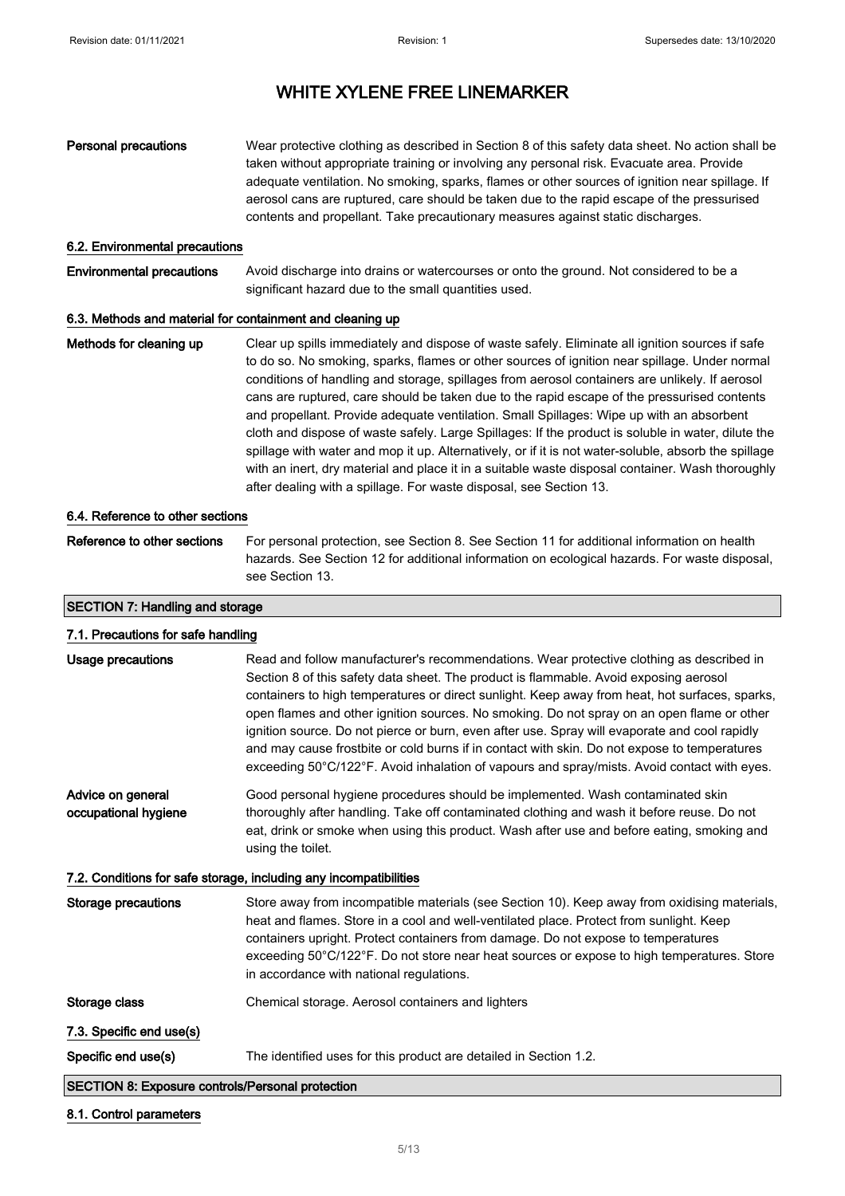### Personal precautions Wear protective clothing as described in Section 8 of this safety data sheet. No action shall be taken without appropriate training or involving any personal risk. Evacuate area. Provide adequate ventilation. No smoking, sparks, flames or other sources of ignition near spillage. If aerosol cans are ruptured, care should be taken due to the rapid escape of the pressurised contents and propellant. Take precautionary measures against static discharges. 6.2. Environmental precautions Environmental precautions Avoid discharge into drains or watercourses or onto the ground. Not considered to be a significant hazard due to the small quantities used. 6.3. Methods and material for containment and cleaning up Methods for cleaning up Clear up spills immediately and dispose of waste safely. Eliminate all ignition sources if safe to do so. No smoking, sparks, flames or other sources of ignition near spillage. Under normal conditions of handling and storage, spillages from aerosol containers are unlikely. If aerosol cans are ruptured, care should be taken due to the rapid escape of the pressurised contents and propellant. Provide adequate ventilation. Small Spillages: Wipe up with an absorbent cloth and dispose of waste safely. Large Spillages: If the product is soluble in water, dilute the spillage with water and mop it up. Alternatively, or if it is not water-soluble, absorb the spillage with an inert, dry material and place it in a suitable waste disposal container. Wash thoroughly after dealing with a spillage. For waste disposal, see Section 13. 6.4. Reference to other sections

Reference to other sections For personal protection, see Section 8. See Section 11 for additional information on health hazards. See Section 12 for additional information on ecological hazards. For waste disposal, see Section 13.

### SECTION 7: Handling and storage

|                                                                   | 7.1. Precautions for safe handling                                                                                                                                                                                                                                                                                                                                                                                                                                                                                                                                                                                                                                                |  |  |
|-------------------------------------------------------------------|-----------------------------------------------------------------------------------------------------------------------------------------------------------------------------------------------------------------------------------------------------------------------------------------------------------------------------------------------------------------------------------------------------------------------------------------------------------------------------------------------------------------------------------------------------------------------------------------------------------------------------------------------------------------------------------|--|--|
| Usage precautions                                                 | Read and follow manufacturer's recommendations. Wear protective clothing as described in<br>Section 8 of this safety data sheet. The product is flammable. Avoid exposing aerosol<br>containers to high temperatures or direct sunlight. Keep away from heat, hot surfaces, sparks,<br>open flames and other ignition sources. No smoking. Do not spray on an open flame or other<br>ignition source. Do not pierce or burn, even after use. Spray will evaporate and cool rapidly<br>and may cause frostbite or cold burns if in contact with skin. Do not expose to temperatures<br>exceeding 50°C/122°F. Avoid inhalation of vapours and spray/mists. Avoid contact with eyes. |  |  |
| Advice on general<br>occupational hygiene                         | Good personal hygiene procedures should be implemented. Wash contaminated skin<br>thoroughly after handling. Take off contaminated clothing and wash it before reuse. Do not<br>eat, drink or smoke when using this product. Wash after use and before eating, smoking and<br>using the toilet.                                                                                                                                                                                                                                                                                                                                                                                   |  |  |
| 7.2. Conditions for safe storage, including any incompatibilities |                                                                                                                                                                                                                                                                                                                                                                                                                                                                                                                                                                                                                                                                                   |  |  |
| Storage precautions                                               | Store away from incompatible materials (see Section 10). Keep away from oxidising materials,<br>heat and flames. Store in a cool and well-ventilated place. Protect from sunlight. Keep<br>containers upright. Protect containers from damage. Do not expose to temperatures<br>exceeding 50°C/122°F. Do not store near heat sources or expose to high temperatures. Store<br>in accordance with national regulations.                                                                                                                                                                                                                                                            |  |  |
| Storage class                                                     | Chemical storage. Aerosol containers and lighters                                                                                                                                                                                                                                                                                                                                                                                                                                                                                                                                                                                                                                 |  |  |
| 7.3. Specific end use(s)                                          |                                                                                                                                                                                                                                                                                                                                                                                                                                                                                                                                                                                                                                                                                   |  |  |
| Specific end use(s)                                               | The identified uses for this product are detailed in Section 1.2.                                                                                                                                                                                                                                                                                                                                                                                                                                                                                                                                                                                                                 |  |  |
| <b>SECTION 8: Exposure controls/Personal protection</b>           |                                                                                                                                                                                                                                                                                                                                                                                                                                                                                                                                                                                                                                                                                   |  |  |

#### 8.1. Control parameters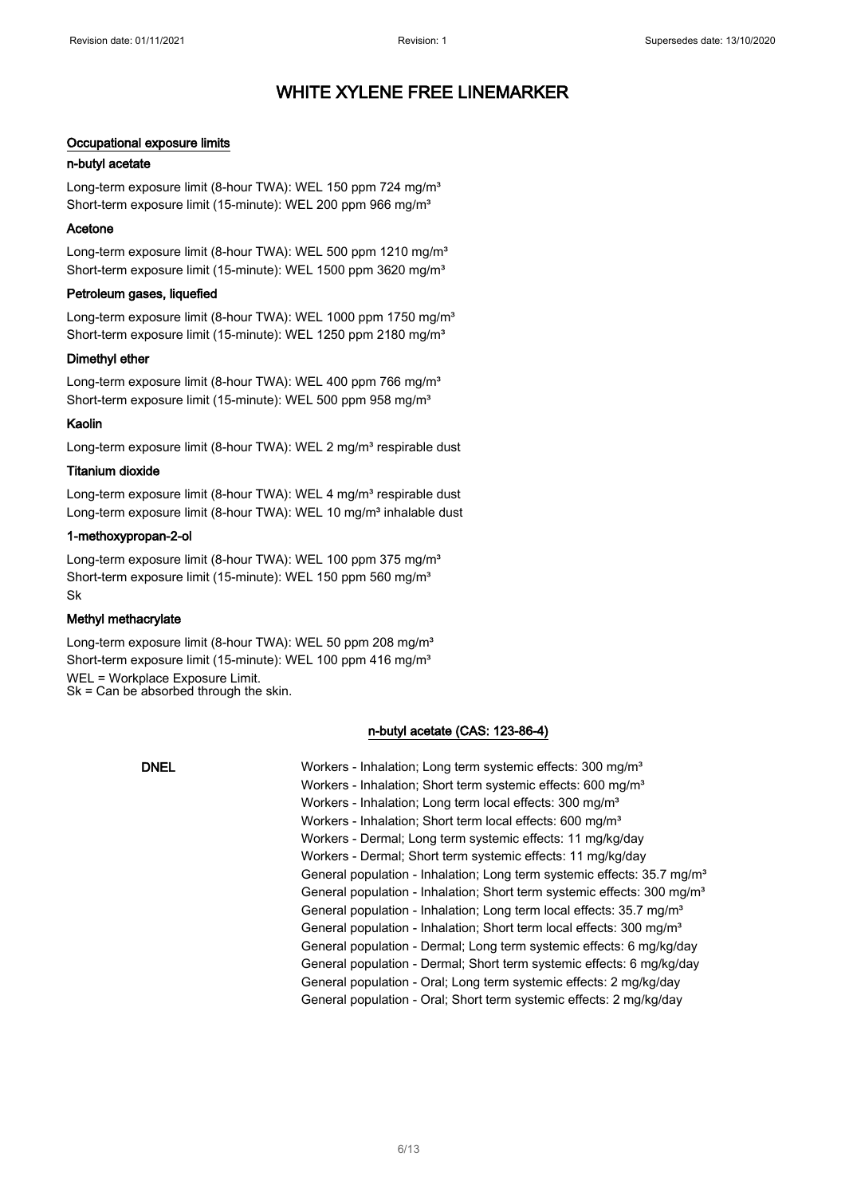### Occupational exposure limits

### n-butyl acetate

Long-term exposure limit (8-hour TWA): WEL 150 ppm 724 mg/m<sup>3</sup> Short-term exposure limit (15-minute): WEL 200 ppm 966 mg/m<sup>3</sup>

### Acetone

Long-term exposure limit (8-hour TWA): WEL 500 ppm 1210 mg/m<sup>3</sup> Short-term exposure limit (15-minute): WEL 1500 ppm 3620 mg/m<sup>3</sup>

#### Petroleum gases, liquefied

Long-term exposure limit (8-hour TWA): WEL 1000 ppm 1750 mg/m<sup>3</sup> Short-term exposure limit (15-minute): WEL 1250 ppm 2180 mg/m<sup>3</sup>

### Dimethyl ether

Long-term exposure limit (8-hour TWA): WEL 400 ppm 766 mg/m<sup>3</sup> Short-term exposure limit (15-minute): WEL 500 ppm 958 mg/m<sup>3</sup>

### Kaolin

Long-term exposure limit (8-hour TWA): WEL 2 mg/m<sup>3</sup> respirable dust

### Titanium dioxide

Long-term exposure limit (8-hour TWA): WEL 4 mg/m<sup>3</sup> respirable dust Long-term exposure limit (8-hour TWA): WEL 10 mg/m<sup>3</sup> inhalable dust

### 1-methoxypropan-2-ol

Long-term exposure limit (8-hour TWA): WEL 100 ppm 375 mg/m<sup>3</sup> Short-term exposure limit (15-minute): WEL 150 ppm 560 mg/m<sup>3</sup> Sk

### Methyl methacrylate

Long-term exposure limit (8-hour TWA): WEL 50 ppm 208 mg/m<sup>3</sup> Short-term exposure limit (15-minute): WEL 100 ppm 416 mg/m<sup>3</sup> WEL = Workplace Exposure Limit.

Sk = Can be absorbed through the skin.

### n-butyl acetate (CAS: 123-86-4)

| <b>DNEL</b> | Workers - Inhalation; Long term systemic effects: 300 mg/m <sup>3</sup>             |
|-------------|-------------------------------------------------------------------------------------|
|             | Workers - Inhalation; Short term systemic effects: 600 mg/m <sup>3</sup>            |
|             | Workers - Inhalation; Long term local effects: 300 mg/m <sup>3</sup>                |
|             | Workers - Inhalation; Short term local effects: 600 mg/m <sup>3</sup>               |
|             | Workers - Dermal; Long term systemic effects: 11 mg/kg/day                          |
|             | Workers - Dermal; Short term systemic effects: 11 mg/kg/day                         |
|             | General population - Inhalation; Long term systemic effects: 35.7 mg/m <sup>3</sup> |
|             | General population - Inhalation; Short term systemic effects: 300 mg/m <sup>3</sup> |
|             | General population - Inhalation; Long term local effects: 35.7 mg/m <sup>3</sup>    |
|             | General population - Inhalation; Short term local effects: 300 mg/m <sup>3</sup>    |
|             | General population - Dermal; Long term systemic effects: 6 mg/kg/day                |
|             | General population - Dermal; Short term systemic effects: 6 mg/kg/day               |
|             | General population - Oral; Long term systemic effects: 2 mg/kg/day                  |
|             | General population - Oral; Short term systemic effects: 2 mg/kg/day                 |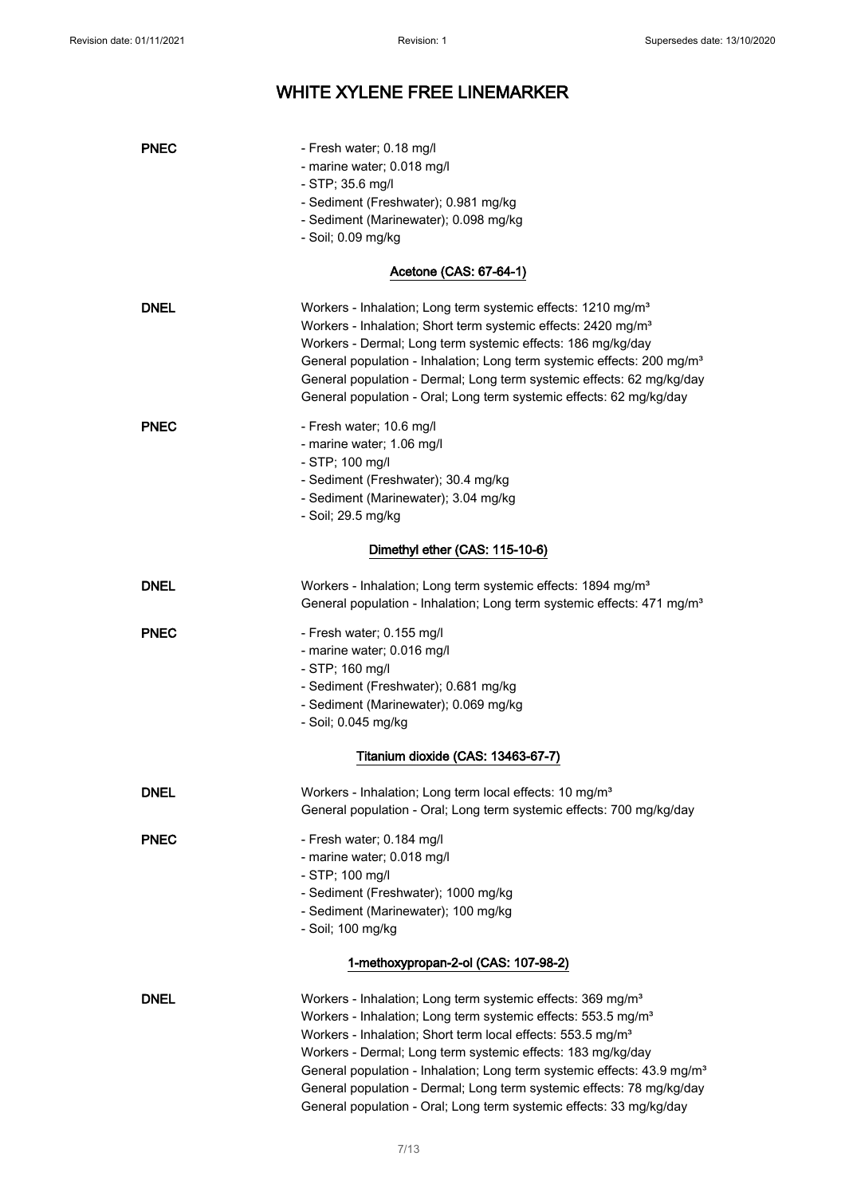| <b>PNEC</b> | - Fresh water; 0.18 mg/l<br>- marine water; 0.018 mg/l<br>$-$ STP; 35.6 mg/l                                                                                                                                                                                                                                                                                                                                                                                                                                                          |
|-------------|---------------------------------------------------------------------------------------------------------------------------------------------------------------------------------------------------------------------------------------------------------------------------------------------------------------------------------------------------------------------------------------------------------------------------------------------------------------------------------------------------------------------------------------|
|             | - Sediment (Freshwater); 0.981 mg/kg                                                                                                                                                                                                                                                                                                                                                                                                                                                                                                  |
|             | - Sediment (Marinewater); 0.098 mg/kg<br>- Soil; 0.09 mg/kg                                                                                                                                                                                                                                                                                                                                                                                                                                                                           |
|             |                                                                                                                                                                                                                                                                                                                                                                                                                                                                                                                                       |
|             | Acetone (CAS: 67-64-1)                                                                                                                                                                                                                                                                                                                                                                                                                                                                                                                |
| <b>DNEL</b> | Workers - Inhalation; Long term systemic effects: 1210 mg/m <sup>3</sup><br>Workers - Inhalation; Short term systemic effects: 2420 mg/m <sup>3</sup><br>Workers - Dermal; Long term systemic effects: 186 mg/kg/day<br>General population - Inhalation; Long term systemic effects: 200 mg/m <sup>3</sup><br>General population - Dermal; Long term systemic effects: 62 mg/kg/day<br>General population - Oral; Long term systemic effects: 62 mg/kg/day                                                                            |
| <b>PNEC</b> | - Fresh water; 10.6 mg/l<br>- marine water; 1.06 mg/l<br>- STP; 100 mg/l<br>- Sediment (Freshwater); 30.4 mg/kg<br>- Sediment (Marinewater); 3.04 mg/kg                                                                                                                                                                                                                                                                                                                                                                               |
|             | - Soil; 29.5 mg/kg                                                                                                                                                                                                                                                                                                                                                                                                                                                                                                                    |
|             | Dimethyl ether (CAS: 115-10-6)                                                                                                                                                                                                                                                                                                                                                                                                                                                                                                        |
| <b>DNEL</b> | Workers - Inhalation; Long term systemic effects: 1894 mg/m <sup>3</sup><br>General population - Inhalation; Long term systemic effects: 471 mg/m <sup>3</sup>                                                                                                                                                                                                                                                                                                                                                                        |
| <b>PNEC</b> | - Fresh water; 0.155 mg/l                                                                                                                                                                                                                                                                                                                                                                                                                                                                                                             |
|             | - marine water; 0.016 mg/l                                                                                                                                                                                                                                                                                                                                                                                                                                                                                                            |
|             | - STP; 160 mg/l<br>- Sediment (Freshwater); 0.681 mg/kg                                                                                                                                                                                                                                                                                                                                                                                                                                                                               |
|             | - Sediment (Marinewater); 0.069 mg/kg                                                                                                                                                                                                                                                                                                                                                                                                                                                                                                 |
|             | - Soil; 0.045 mg/kg                                                                                                                                                                                                                                                                                                                                                                                                                                                                                                                   |
|             | Titanium dioxide (CAS: 13463-67-7)                                                                                                                                                                                                                                                                                                                                                                                                                                                                                                    |
| <b>DNEL</b> | Workers - Inhalation; Long term local effects: 10 mg/m <sup>3</sup>                                                                                                                                                                                                                                                                                                                                                                                                                                                                   |
|             | General population - Oral; Long term systemic effects: 700 mg/kg/day                                                                                                                                                                                                                                                                                                                                                                                                                                                                  |
| <b>PNEC</b> | - Fresh water; 0.184 mg/l                                                                                                                                                                                                                                                                                                                                                                                                                                                                                                             |
|             | - marine water; 0.018 mg/l                                                                                                                                                                                                                                                                                                                                                                                                                                                                                                            |
|             | - STP; 100 mg/l                                                                                                                                                                                                                                                                                                                                                                                                                                                                                                                       |
|             | - Sediment (Freshwater); 1000 mg/kg                                                                                                                                                                                                                                                                                                                                                                                                                                                                                                   |
|             | - Sediment (Marinewater); 100 mg/kg                                                                                                                                                                                                                                                                                                                                                                                                                                                                                                   |
|             | - Soil; 100 mg/kg                                                                                                                                                                                                                                                                                                                                                                                                                                                                                                                     |
|             | 1-methoxypropan-2-ol (CAS: 107-98-2)                                                                                                                                                                                                                                                                                                                                                                                                                                                                                                  |
| <b>DNEL</b> | Workers - Inhalation; Long term systemic effects: 369 mg/m <sup>3</sup><br>Workers - Inhalation; Long term systemic effects: 553.5 mg/m <sup>3</sup><br>Workers - Inhalation; Short term local effects: 553.5 mg/m <sup>3</sup><br>Workers - Dermal; Long term systemic effects: 183 mg/kg/day<br>General population - Inhalation; Long term systemic effects: 43.9 mg/m <sup>3</sup><br>General population - Dermal; Long term systemic effects: 78 mg/kg/day<br>General population - Oral; Long term systemic effects: 33 mg/kg/day |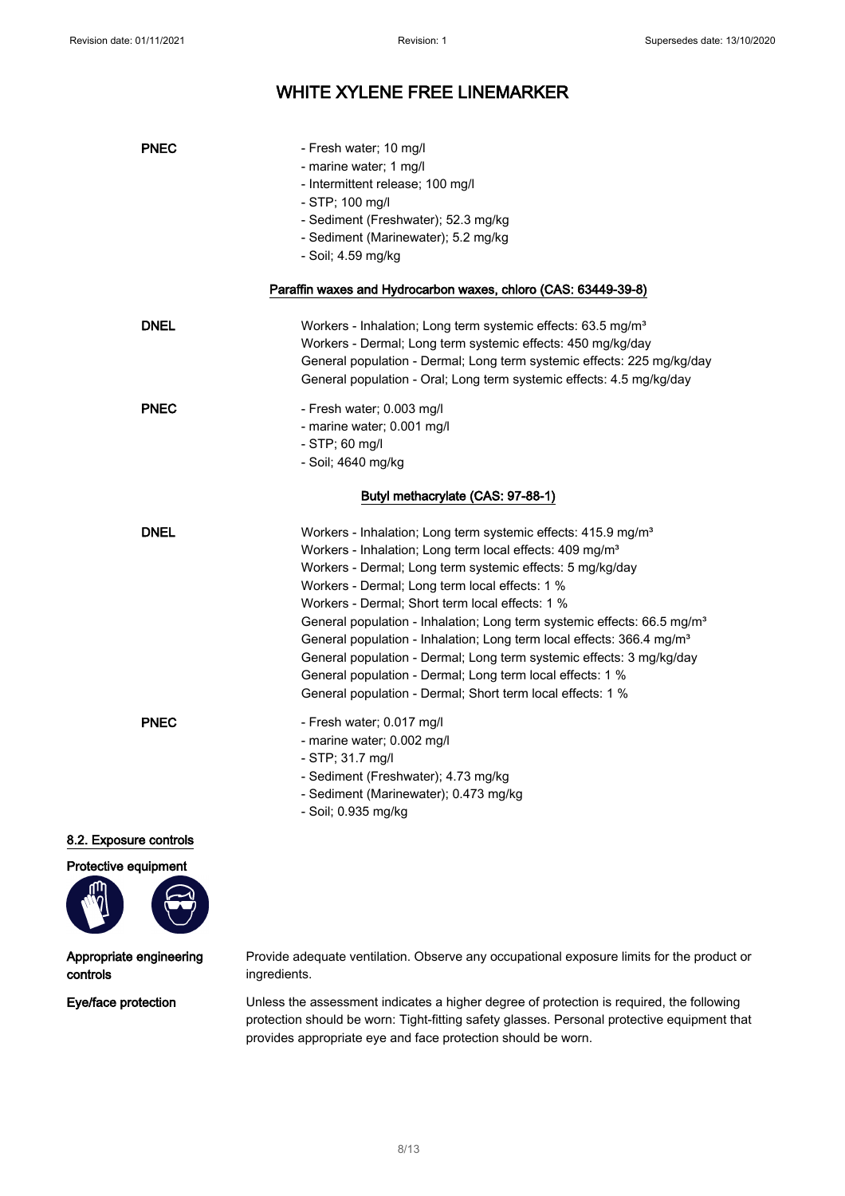| <b>PNEC</b> | - Fresh water; 10 mg/l<br>- marine water; 1 mg/l<br>- Intermittent release; 100 mg/l<br>- STP; 100 mg/l<br>- Sediment (Freshwater); 52.3 mg/kg<br>- Sediment (Marinewater); 5.2 mg/kg<br>- Soil; 4.59 mg/kg                                                                                                                                                                                                                                                                                                                                                                                                                                                                                        |
|-------------|----------------------------------------------------------------------------------------------------------------------------------------------------------------------------------------------------------------------------------------------------------------------------------------------------------------------------------------------------------------------------------------------------------------------------------------------------------------------------------------------------------------------------------------------------------------------------------------------------------------------------------------------------------------------------------------------------|
|             | Paraffin waxes and Hydrocarbon waxes, chloro (CAS: 63449-39-8)                                                                                                                                                                                                                                                                                                                                                                                                                                                                                                                                                                                                                                     |
| <b>DNEL</b> | Workers - Inhalation; Long term systemic effects: 63.5 mg/m <sup>3</sup><br>Workers - Dermal; Long term systemic effects: 450 mg/kg/day<br>General population - Dermal; Long term systemic effects: 225 mg/kg/day<br>General population - Oral; Long term systemic effects: 4.5 mg/kg/day                                                                                                                                                                                                                                                                                                                                                                                                          |
| <b>PNEC</b> | - Fresh water; 0.003 mg/l<br>- marine water; 0.001 mg/l<br>$-$ STP; 60 mg/l<br>- Soil; 4640 mg/kg                                                                                                                                                                                                                                                                                                                                                                                                                                                                                                                                                                                                  |
|             | Butyl methacrylate (CAS: 97-88-1)                                                                                                                                                                                                                                                                                                                                                                                                                                                                                                                                                                                                                                                                  |
| <b>DNEL</b> | Workers - Inhalation; Long term systemic effects: 415.9 mg/m <sup>3</sup><br>Workers - Inhalation; Long term local effects: 409 mg/m <sup>3</sup><br>Workers - Dermal; Long term systemic effects: 5 mg/kg/day<br>Workers - Dermal; Long term local effects: 1 %<br>Workers - Dermal; Short term local effects: 1 %<br>General population - Inhalation; Long term systemic effects: 66.5 mg/m <sup>3</sup><br>General population - Inhalation; Long term local effects: 366.4 mg/m <sup>3</sup><br>General population - Dermal; Long term systemic effects: 3 mg/kg/day<br>General population - Dermal; Long term local effects: 1 %<br>General population - Dermal; Short term local effects: 1 % |
| <b>PNEC</b> | - Fresh water; 0.017 mg/l<br>- marine water; 0.002 mg/l<br>- STP; 31.7 mg/l<br>- Sediment (Freshwater); 4.73 mg/kg<br>- Sediment (Marinewater); 0.473 mg/kg<br>- Soil; 0.935 mg/kg                                                                                                                                                                                                                                                                                                                                                                                                                                                                                                                 |

#### 8.2. Exposure controls

Protective equipment



### Appropriate engineering controls

Provide adequate ventilation. Observe any occupational exposure limits for the product or ingredients.

Eye/face protection Unless the assessment indicates a higher degree of protection is required, the following protection should be worn: Tight-fitting safety glasses. Personal protective equipment that provides appropriate eye and face protection should be worn.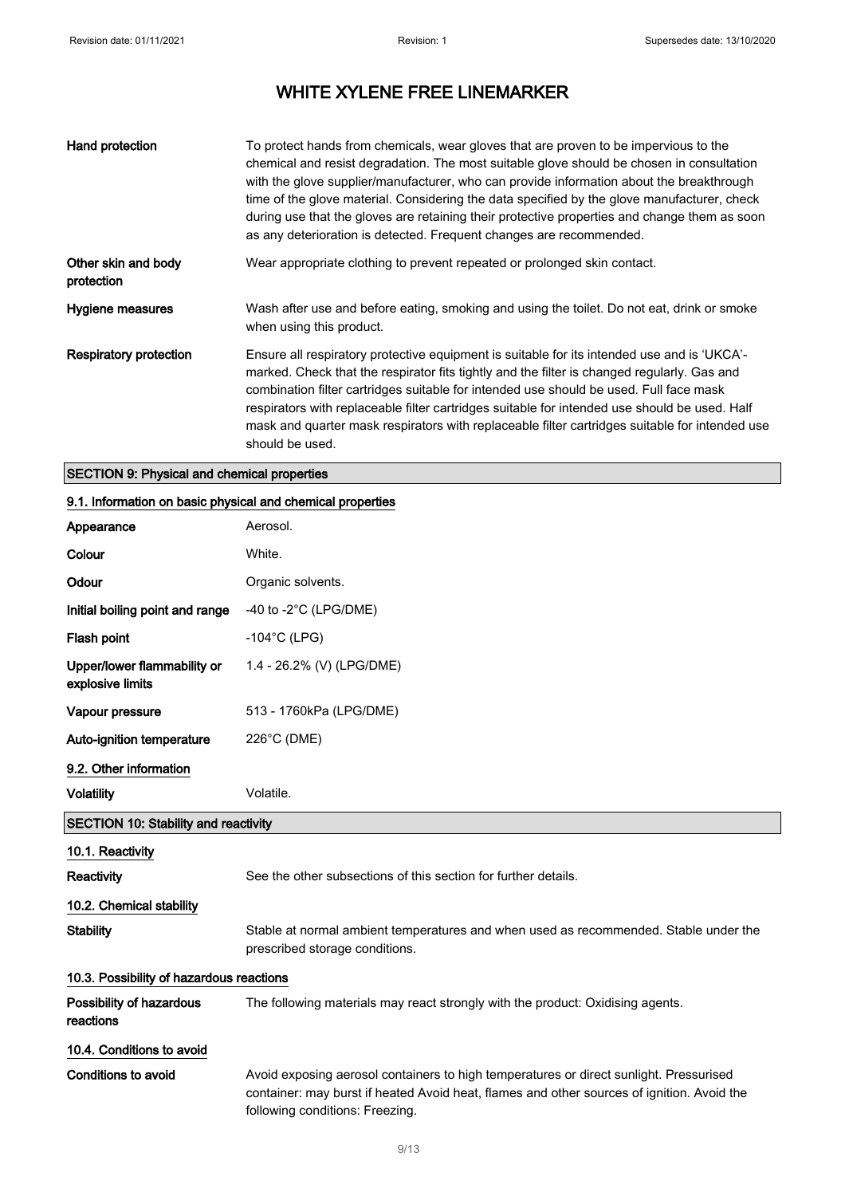| Hand protection                   | To protect hands from chemicals, wear gloves that are proven to be impervious to the<br>chemical and resist degradation. The most suitable glove should be chosen in consultation<br>with the glove supplier/manufacturer, who can provide information about the breakthrough<br>time of the glove material. Considering the data specified by the glove manufacturer, check<br>during use that the gloves are retaining their protective properties and change them as soon<br>as any deterioration is detected. Frequent changes are recommended. |
|-----------------------------------|-----------------------------------------------------------------------------------------------------------------------------------------------------------------------------------------------------------------------------------------------------------------------------------------------------------------------------------------------------------------------------------------------------------------------------------------------------------------------------------------------------------------------------------------------------|
| Other skin and body<br>protection | Wear appropriate clothing to prevent repeated or prolonged skin contact.                                                                                                                                                                                                                                                                                                                                                                                                                                                                            |
| Hygiene measures                  | Wash after use and before eating, smoking and using the toilet. Do not eat, drink or smoke<br>when using this product.                                                                                                                                                                                                                                                                                                                                                                                                                              |
| <b>Respiratory protection</b>     | Ensure all respiratory protective equipment is suitable for its intended use and is 'UKCA'-<br>marked. Check that the respirator fits tightly and the filter is changed regularly. Gas and<br>combination filter cartridges suitable for intended use should be used. Full face mask<br>respirators with replaceable filter cartridges suitable for intended use should be used. Half<br>mask and quarter mask respirators with replaceable filter cartridges suitable for intended use<br>should be used.                                          |

### SECTION 9: Physical and chemical properties

### 9.1. Information on basic physical and chemical properties

| Appearance                                      | Aerosol.                                                                                                                                                                                                                |
|-------------------------------------------------|-------------------------------------------------------------------------------------------------------------------------------------------------------------------------------------------------------------------------|
| Colour                                          | White.                                                                                                                                                                                                                  |
| Odour                                           | Organic solvents.                                                                                                                                                                                                       |
| Initial boiling point and range                 | -40 to -2 $^{\circ}$ C (LPG/DME)                                                                                                                                                                                        |
| Flash point                                     | $-104^{\circ}$ C (LPG)                                                                                                                                                                                                  |
| Upper/lower flammability or<br>explosive limits | 1.4 - 26.2% (V) (LPG/DME)                                                                                                                                                                                               |
| Vapour pressure                                 | 513 - 1760kPa (LPG/DME)                                                                                                                                                                                                 |
| Auto-ignition temperature                       | 226°C (DME)                                                                                                                                                                                                             |
| 9.2. Other information                          |                                                                                                                                                                                                                         |
| <b>Volatility</b>                               | Volatile.                                                                                                                                                                                                               |
| <b>SECTION 10: Stability and reactivity</b>     |                                                                                                                                                                                                                         |
| 10.1. Reactivity                                |                                                                                                                                                                                                                         |
| Reactivity                                      | See the other subsections of this section for further details.                                                                                                                                                          |
| 10.2. Chemical stability                        |                                                                                                                                                                                                                         |
| <b>Stability</b>                                | Stable at normal ambient temperatures and when used as recommended. Stable under the<br>prescribed storage conditions.                                                                                                  |
| 10.3. Possibility of hazardous reactions        |                                                                                                                                                                                                                         |
| Possibility of hazardous<br>reactions           | The following materials may react strongly with the product: Oxidising agents.                                                                                                                                          |
| 10.4. Conditions to avoid                       |                                                                                                                                                                                                                         |
| <b>Conditions to avoid</b>                      | Avoid exposing aerosol containers to high temperatures or direct sunlight. Pressurised<br>container: may burst if heated Avoid heat, flames and other sources of ignition. Avoid the<br>following conditions: Freezing. |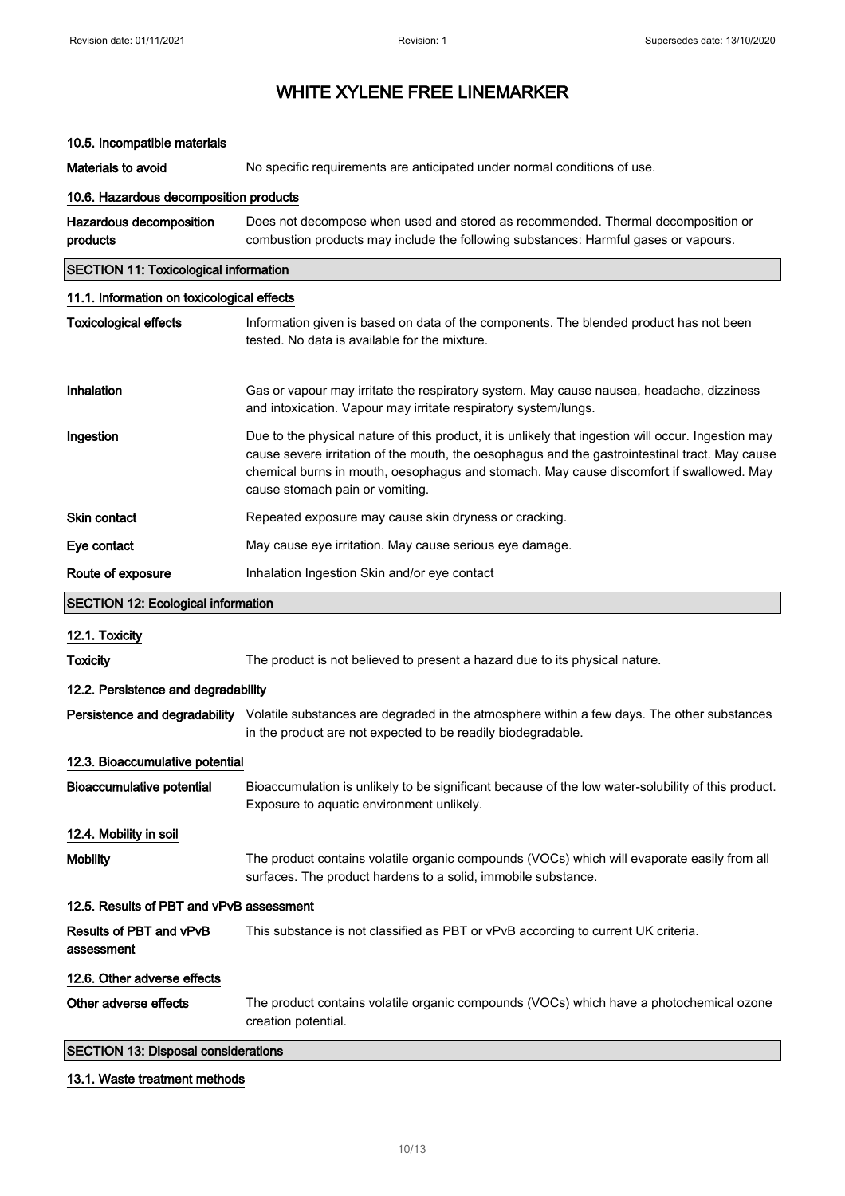### 10.5. Incompatible materials

Materials to avoid **No specific requirements are anticipated under normal conditions of use.** 10.6. Hazardous decomposition products Hazardous decomposition products Does not decompose when used and stored as recommended. Thermal decomposition or combustion products may include the following substances: Harmful gases or vapours. SECTION 11: Toxicological information 11.1. Information on toxicological effects Toxicological effects Information given is based on data of the components. The blended product has not been tested. No data is available for the mixture. Inhalation Gas or vapour may irritate the respiratory system. May cause nausea, headache, dizziness and intoxication. Vapour may irritate respiratory system/lungs. Ingestion **Due to the physical nature of this product**, it is unlikely that ingestion will occur. Ingestion may cause severe irritation of the mouth, the oesophagus and the gastrointestinal tract. May cause chemical burns in mouth, oesophagus and stomach. May cause discomfort if swallowed. May cause stomach pain or vomiting. Skin contact **Repeated exposure may cause skin dryness or cracking.** Eye contact May cause eye irritation. May cause serious eye damage. Route of exposure **Inhalation Ingestion Skin and/or eye contact** SECTION 12: Ecological information 12.1. Toxicity Toxicity The product is not believed to present a hazard due to its physical nature. 12.2. Persistence and degradability Persistence and degradability Volatile substances are degraded in the atmosphere within a few days. The other substances in the product are not expected to be readily biodegradable. 12.3. Bioaccumulative potential Bioaccumulative potential Bioaccumulation is unlikely to be significant because of the low water-solubility of this product. Exposure to aquatic environment unlikely. 12.4. Mobility in soil Mobility The product contains volatile organic compounds (VOCs) which will evaporate easily from all surfaces. The product hardens to a solid, immobile substance. 12.5. Results of PBT and vPvB assessment Results of PBT and vPvB assessment This substance is not classified as PBT or vPvB according to current UK criteria. 12.6. Other adverse effects Other adverse effects The product contains volatile organic compounds (VOCs) which have a photochemical ozone creation potential. SECTION 13: Disposal considerations

#### 13.1. Waste treatment methods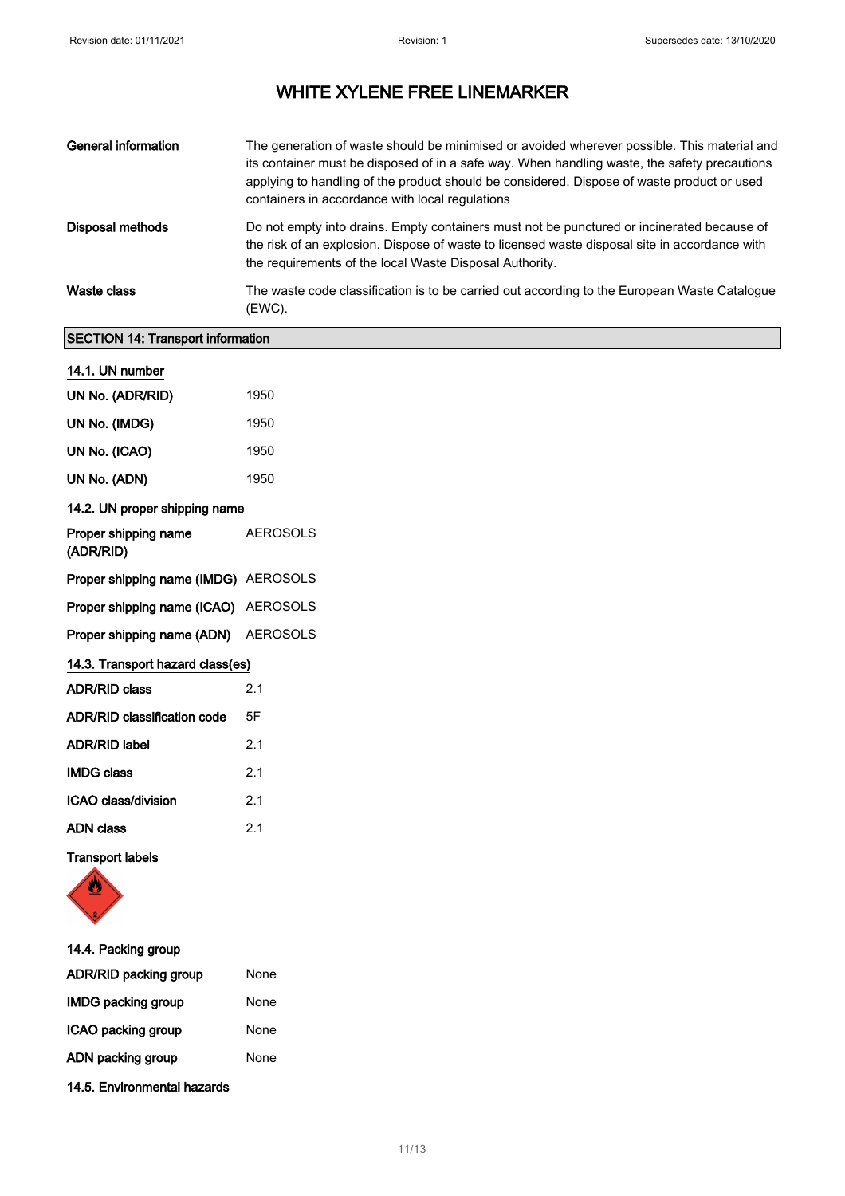| <b>General information</b> | The generation of waste should be minimised or avoided wherever possible. This material and<br>its container must be disposed of in a safe way. When handling waste, the safety precautions<br>applying to handling of the product should be considered. Dispose of waste product or used<br>containers in accordance with local regulations |
|----------------------------|----------------------------------------------------------------------------------------------------------------------------------------------------------------------------------------------------------------------------------------------------------------------------------------------------------------------------------------------|
| Disposal methods           | Do not empty into drains. Empty containers must not be punctured or incinerated because of<br>the risk of an explosion. Dispose of waste to licensed waste disposal site in accordance with<br>the requirements of the local Waste Disposal Authority.                                                                                       |
| Waste class                | The waste code classification is to be carried out according to the European Waste Catalogue<br>(EWC).                                                                                                                                                                                                                                       |

### SECTION 14: Transport information

| 14.1. UN number                      |                 |
|--------------------------------------|-----------------|
| UN No. (ADR/RID)                     | 1950            |
| UN No. (IMDG)                        | 1950            |
| UN No. (ICAO)                        | 1950            |
| UN No. (ADN)                         | 1950            |
| 14.2. UN proper shipping name        |                 |
| Proper shipping name<br>(ADR/RID)    | <b>AEROSOLS</b> |
| Proper shipping name (IMDG) AEROSOLS |                 |
| Proper shipping name (ICAO) AEROSOLS |                 |
| Proper shipping name (ADN) AEROSOLS  |                 |
| 14.3. Transport hazard class(es)     |                 |
| <b>ADR/RID class</b>                 | 2.1             |
| ADR/RID classification code          | 5F              |
| <b>ADR/RID label</b>                 | 2.1             |
| <b>IMDG class</b>                    | 2.1             |
| ICAO class/division                  | 2.1             |
| <b>ADN class</b>                     | 2.1             |
| <b>Transport labels</b>              |                 |



| 14.4. Packing group          |      |
|------------------------------|------|
| <b>ADR/RID packing group</b> | None |
| <b>IMDG packing group</b>    | None |
| ICAO packing group           | None |
| ADN packing group            | None |
| 14.5. Environmental hazards  |      |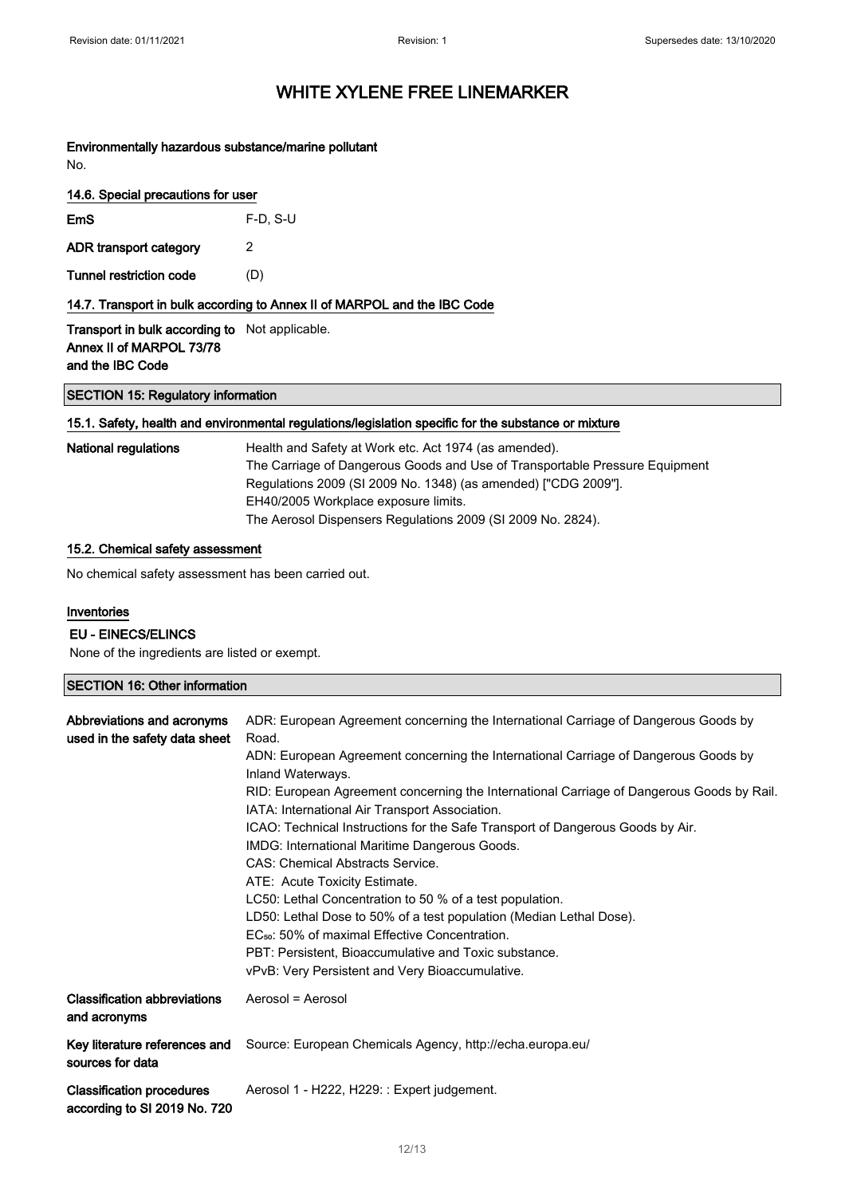Environmentally hazardous substance/marine pollutant No.

|  | 14.6. Special precautions for user |  |  |
|--|------------------------------------|--|--|
|  |                                    |  |  |

| <b>EmS</b>             | $F-D$ , S-U |
|------------------------|-------------|
| ADR transport category | 2           |

Tunnel restriction code (D)

14.7. Transport in bulk according to Annex II of MARPOL and the IBC Code

Transport in bulk according to Not applicable. Annex II of MARPOL 73/78 and the IBC Code

SECTION 15: Regulatory information

### 15.1. Safety, health and environmental regulations/legislation specific for the substance or mixture

| National regulations | Health and Safety at Work etc. Act 1974 (as amended).<br>The Carriage of Dangerous Goods and Use of Transportable Pressure Equipment<br>Regulations 2009 (SI 2009 No. 1348) (as amended) ["CDG 2009"]. |
|----------------------|--------------------------------------------------------------------------------------------------------------------------------------------------------------------------------------------------------|
|                      | EH40/2005 Workplace exposure limits.                                                                                                                                                                   |
|                      | The Aerosol Dispensers Regulations 2009 (SI 2009 No. 2824).                                                                                                                                            |

### 15.2. Chemical safety assessment

No chemical safety assessment has been carried out.

### Inventories

### EU - EINECS/ELINCS

None of the ingredients are listed or exempt.

### SECTION 16: Other information

| Abbreviations and acronyms<br>used in the safety data sheet      | ADR: European Agreement concerning the International Carriage of Dangerous Goods by<br>Road.<br>ADN: European Agreement concerning the International Carriage of Dangerous Goods by<br>Inland Waterways.<br>RID: European Agreement concerning the International Carriage of Dangerous Goods by Rail.<br>IATA: International Air Transport Association.<br>ICAO: Technical Instructions for the Safe Transport of Dangerous Goods by Air.<br>IMDG: International Maritime Dangerous Goods.<br>CAS: Chemical Abstracts Service.<br>ATE: Acute Toxicity Estimate.<br>LC50: Lethal Concentration to 50 % of a test population.<br>LD50: Lethal Dose to 50% of a test population (Median Lethal Dose).<br>EC <sub>50</sub> : 50% of maximal Effective Concentration.<br>PBT: Persistent, Bioaccumulative and Toxic substance.<br>vPvB: Very Persistent and Very Bioaccumulative. |
|------------------------------------------------------------------|------------------------------------------------------------------------------------------------------------------------------------------------------------------------------------------------------------------------------------------------------------------------------------------------------------------------------------------------------------------------------------------------------------------------------------------------------------------------------------------------------------------------------------------------------------------------------------------------------------------------------------------------------------------------------------------------------------------------------------------------------------------------------------------------------------------------------------------------------------------------------|
| <b>Classification abbreviations</b><br>and acronyms              | Aerosol = Aerosol                                                                                                                                                                                                                                                                                                                                                                                                                                                                                                                                                                                                                                                                                                                                                                                                                                                            |
| sources for data                                                 | Key literature references and Source: European Chemicals Agency, http://echa.europa.eu/                                                                                                                                                                                                                                                                                                                                                                                                                                                                                                                                                                                                                                                                                                                                                                                      |
| <b>Classification procedures</b><br>according to SI 2019 No. 720 | Aerosol 1 - H222, H229: : Expert judgement.                                                                                                                                                                                                                                                                                                                                                                                                                                                                                                                                                                                                                                                                                                                                                                                                                                  |